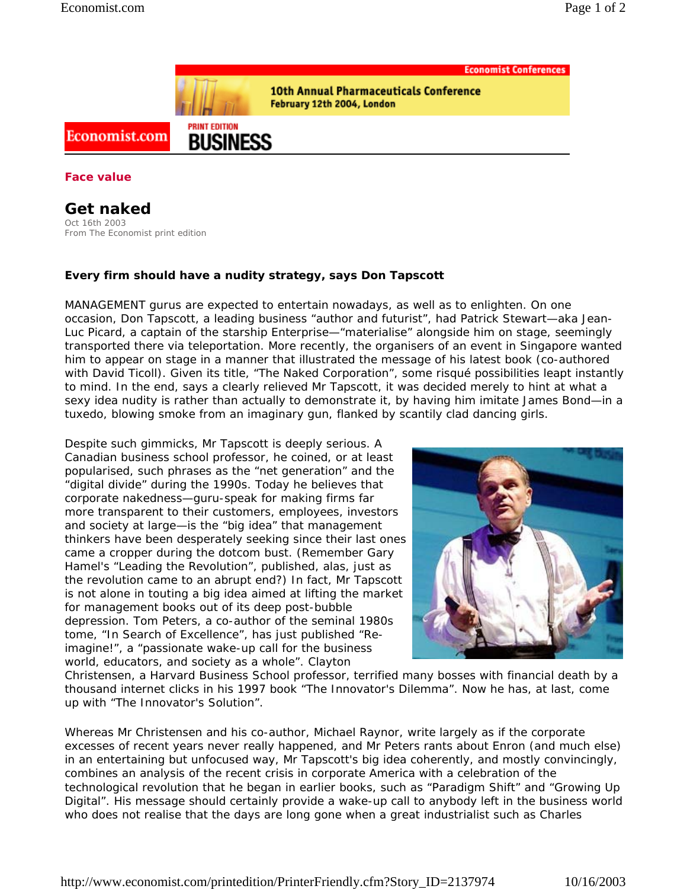

**10th Annual Pharmaceuticals Conference** February 12th 2004, London

## Economist.com

**Face value**

**Get naked** Oct 16th 2003 From The Economist print edition

## **Every firm should have a nudity strategy, says Don Tapscott**

**PRINT EDITION** 

**BUSINESS** 

MANAGEMENT gurus are expected to entertain nowadays, as well as to enlighten. On one occasion, Don Tapscott, a leading business "author and futurist", had Patrick Stewart—aka Jean-Luc Picard, a captain of the starship *Enterprise*—"materialise" alongside him on stage, seemingly transported there via teleportation. More recently, the organisers of an event in Singapore wanted him to appear on stage in a manner that illustrated the message of his latest book (co-authored with David Ticoll). Given its title, "The Naked Corporation", some risqué possibilities leapt instantly to mind. In the end, says a clearly relieved Mr Tapscott, it was decided merely to hint at what a sexy idea nudity is rather than actually to demonstrate it, by having him imitate James Bond—in a tuxedo, blowing smoke from an imaginary gun, flanked by scantily clad dancing girls.

Despite such gimmicks, Mr Tapscott is deeply serious. A Canadian business school professor, he coined, or at least popularised, such phrases as the "net generation" and the "digital divide" during the 1990s. Today he believes that corporate nakedness—guru-speak for making firms far more transparent to their customers, employees, investors and society at large—is the "big idea" that management thinkers have been desperately seeking since their last ones came a cropper during the dotcom bust. (Remember Gary Hamel's "Leading the Revolution", published, alas, just as the revolution came to an abrupt end?) In fact, Mr Tapscott is not alone in touting a big idea aimed at lifting the market for management books out of its deep post-bubble depression. Tom Peters, a co-author of the seminal 1980s tome, "In Search of Excellence", has just published "Reimagine!", a "passionate wake-up call for the business world, educators, and society as a whole". Clayton



Christensen, a Harvard Business School professor, terrified many bosses with financial death by a thousand internet clicks in his 1997 book "The Innovator's Dilemma". Now he has, at last, come up with "The Innovator's Solution".

Whereas Mr Christensen and his co-author, Michael Raynor, write largely as if the corporate excesses of recent years never really happened, and Mr Peters rants about Enron (and much else) in an entertaining but unfocused way, Mr Tapscott's big idea coherently, and mostly convincingly, combines an analysis of the recent crisis in corporate America with a celebration of the technological revolution that he began in earlier books, such as "Paradigm Shift" and "Growing Up Digital". His message should certainly provide a wake-up call to anybody left in the business world who does not realise that the days are long gone when a great industrialist such as Charles